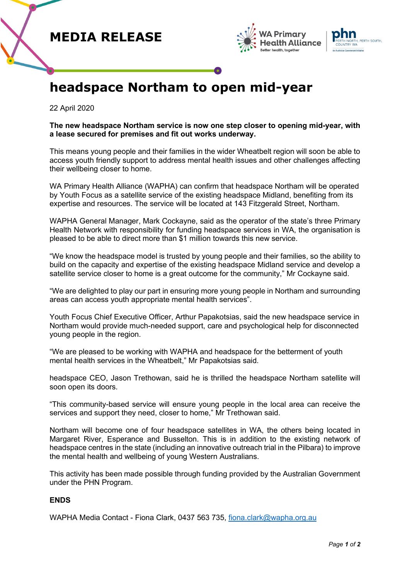





## **headspace Northam to open mid-year**

22 April 2020

**The new headspace Northam service is now one step closer to opening mid-year, with a lease secured for premises and fit out works underway.**

This means young people and their families in the wider Wheatbelt region will soon be able to access youth friendly support to address mental health issues and other challenges affecting their wellbeing closer to home.

WA Primary Health Alliance (WAPHA) can confirm that headspace Northam will be operated by Youth Focus as a satellite service of the existing headspace Midland, benefiting from its expertise and resources. The service will be located at 143 Fitzgerald Street, Northam.

WAPHA General Manager, Mark Cockayne, said as the operator of the state's three Primary Health Network with responsibility for funding headspace services in WA, the organisation is pleased to be able to direct more than \$1 million towards this new service.

"We know the headspace model is trusted by young people and their families, so the ability to build on the capacity and expertise of the existing headspace Midland service and develop a satellite service closer to home is a great outcome for the community," Mr Cockayne said.

"We are delighted to play our part in ensuring more young people in Northam and surrounding areas can access youth appropriate mental health services".

Youth Focus Chief Executive Officer, Arthur Papakotsias, said the new headspace service in Northam would provide much-needed support, care and psychological help for disconnected young people in the region.

"We are pleased to be working with WAPHA and headspace for the betterment of youth mental health services in the Wheatbelt," Mr Papakotsias said.

headspace CEO, Jason Trethowan, said he is thrilled the headspace Northam satellite will soon open its doors.

"This community-based service will ensure young people in the local area can receive the services and support they need, closer to home," Mr Trethowan said.

Northam will become one of four headspace satellites in WA, the others being located in Margaret River, Esperance and Busselton. This is in addition to the existing network of headspace centres in the state (including an innovative outreach trial in the Pilbara) to improve the mental health and wellbeing of young Western Australians.

This activity has been made possible through funding provided by the Australian Government under the PHN Program.

## **ENDS**

WAPHA Media Contact - Fiona Clark, 0437 563 735, [fiona.clark@wapha.org.au](mailto:fiona.clark@wapha.org.au)